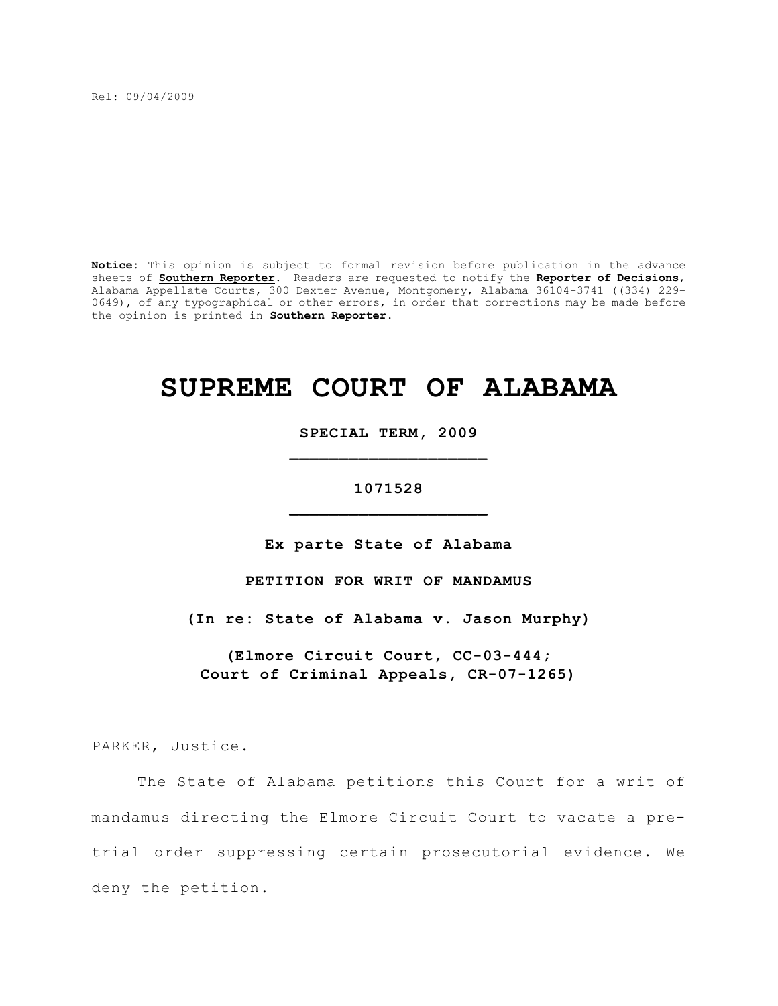Rel: 09/04/2009

**Notice:** This opinion is subject to formal revision before publication in the advance sheets of **Southern Reporter**. Readers are requested to notify the **Reporter of Decisions**, Alabama Appellate Courts, 300 Dexter Avenue, Montgomery, Alabama 36104-3741 ((334) 229- 0649), of any typographical or other errors, in order that corrections may be made before the opinion is printed in **Southern Reporter**.

# **SUPREME COURT OF ALABAMA**

**SPECIAL TERM, 2009 \_\_\_\_\_\_\_\_\_\_\_\_\_\_\_\_\_\_\_\_**

**1071528 \_\_\_\_\_\_\_\_\_\_\_\_\_\_\_\_\_\_\_\_**

**Ex parte State of Alabama**

**PETITION FOR WRIT OF MANDAMUS**

**(In re: State of Alabama v. Jason Murphy)**

**(Elmore Circuit Court, CC-03-444; Court of Criminal Appeals, CR-07-1265)**

PARKER, Justice.

The State of Alabama petitions this Court for a writ of mandamus directing the Elmore Circuit Court to vacate a pretrial order suppressing certain prosecutorial evidence. We deny the petition.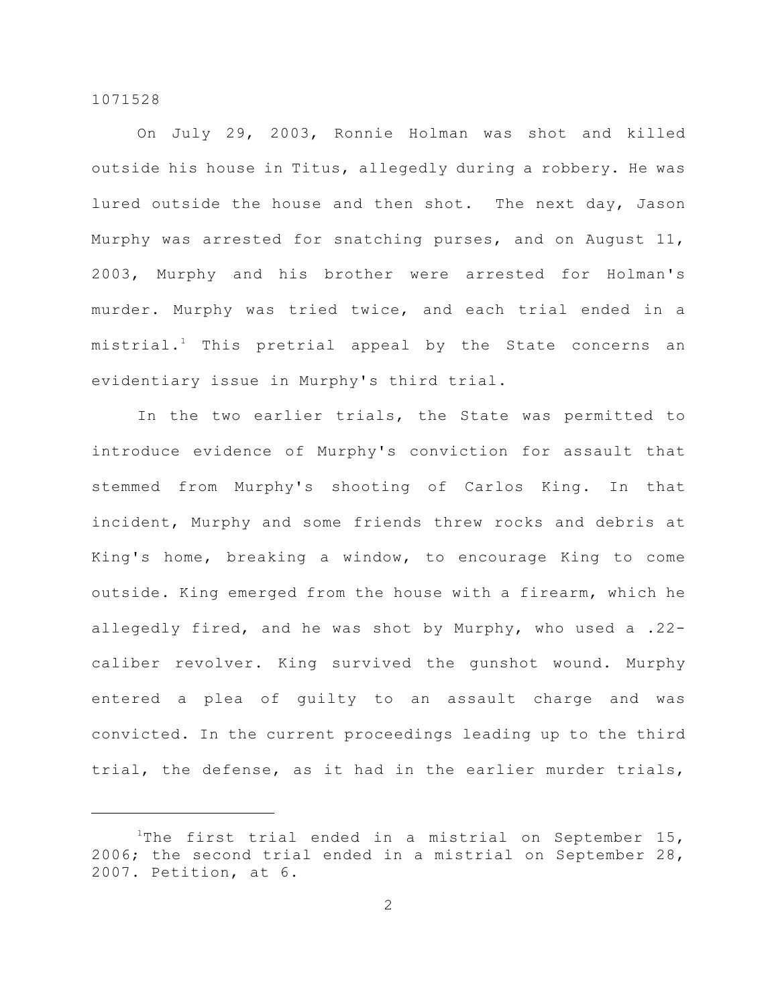On July 29, 2003, Ronnie Holman was shot and killed outside his house in Titus, allegedly during a robbery. He was lured outside the house and then shot. The next day, Jason Murphy was arrested for snatching purses, and on August 11, 2003, Murphy and his brother were arrested for Holman's murder. Murphy was tried twice, and each trial ended in a mistrial.<sup>1</sup> This pretrial appeal by the State concerns an evidentiary issue in Murphy's third trial.

In the two earlier trials, the State was permitted to introduce evidence of Murphy's conviction for assault that stemmed from Murphy's shooting of Carlos King. In that incident, Murphy and some friends threw rocks and debris at King's home, breaking a window, to encourage King to come outside. King emerged from the house with a firearm, which he allegedly fired, and he was shot by Murphy, who used a .22 caliber revolver. King survived the gunshot wound. Murphy entered a plea of guilty to an assault charge and was convicted. In the current proceedings leading up to the third trial, the defense, as it had in the earlier murder trials,

The first trial ended in a mistrial on September 15, 2006; the second trial ended in a mistrial on September 28, 2007. Petition, at 6.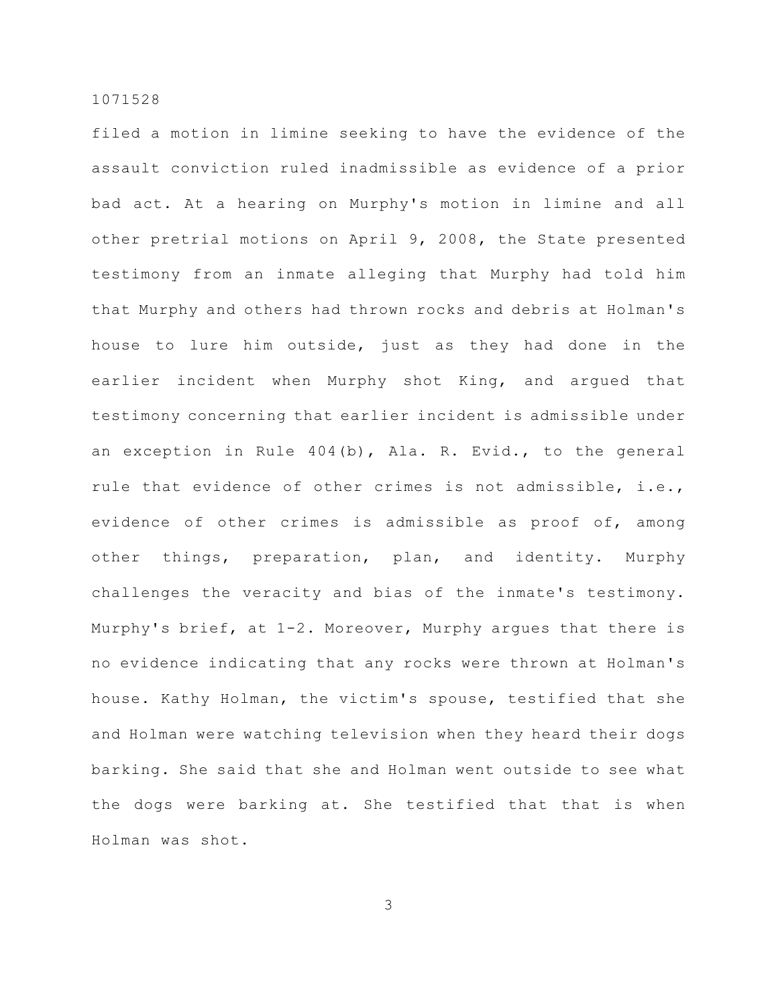filed a motion in limine seeking to have the evidence of the assault conviction ruled inadmissible as evidence of a prior bad act. At a hearing on Murphy's motion in limine and all other pretrial motions on April 9, 2008, the State presented testimony from an inmate alleging that Murphy had told him that Murphy and others had thrown rocks and debris at Holman's house to lure him outside, just as they had done in the earlier incident when Murphy shot King, and argued that testimony concerning that earlier incident is admissible under an exception in Rule 404(b), Ala. R. Evid., to the general rule that evidence of other crimes is not admissible, i.e., evidence of other crimes is admissible as proof of, among other things, preparation, plan, and identity. Murphy challenges the veracity and bias of the inmate's testimony. Murphy's brief, at 1-2. Moreover, Murphy argues that there is no evidence indicating that any rocks were thrown at Holman's house. Kathy Holman, the victim's spouse, testified that she and Holman were watching television when they heard their dogs barking. She said that she and Holman went outside to see what the dogs were barking at. She testified that that is when Holman was shot.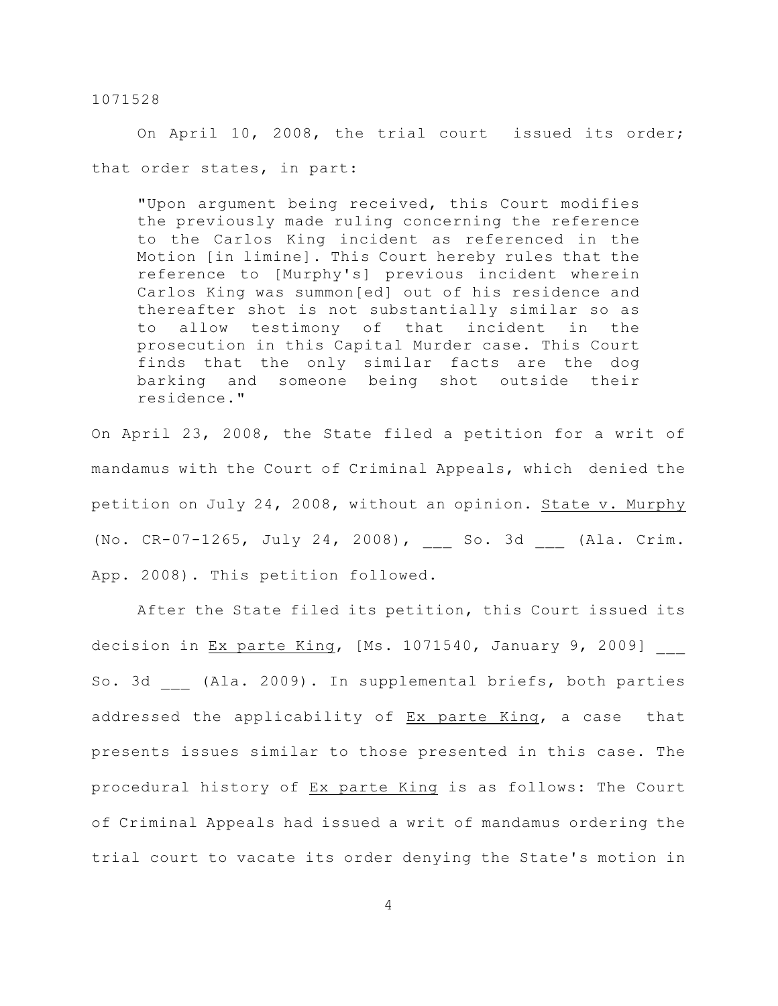On April 10, 2008, the trial court issued its order; that order states, in part:

"Upon argument being received, this Court modifies the previously made ruling concerning the reference to the Carlos King incident as referenced in the Motion [in limine]. This Court hereby rules that the reference to [Murphy's] previous incident wherein Carlos King was summon[ed] out of his residence and thereafter shot is not substantially similar so as to allow testimony of that incident in the prosecution in this Capital Murder case. This Court finds that the only similar facts are the dog barking and someone being shot outside their residence."

On April 23, 2008, the State filed a petition for a writ of mandamus with the Court of Criminal Appeals, which denied the petition on July 24, 2008, without an opinion. State v. Murphy (No. CR-07-1265, July 24, 2008), \_\_\_ So. 3d \_\_\_ (Ala. Crim. App. 2008). This petition followed.

After the State filed its petition, this Court issued its decision in Ex parte King, [Ms. 1071540, January 9, 2009] So. 3d (Ala. 2009). In supplemental briefs, both parties addressed the applicability of Ex parte King, a case that presents issues similar to those presented in this case. The procedural history of Ex parte King is as follows: The Court of Criminal Appeals had issued a writ of mandamus ordering the trial court to vacate its order denying the State's motion in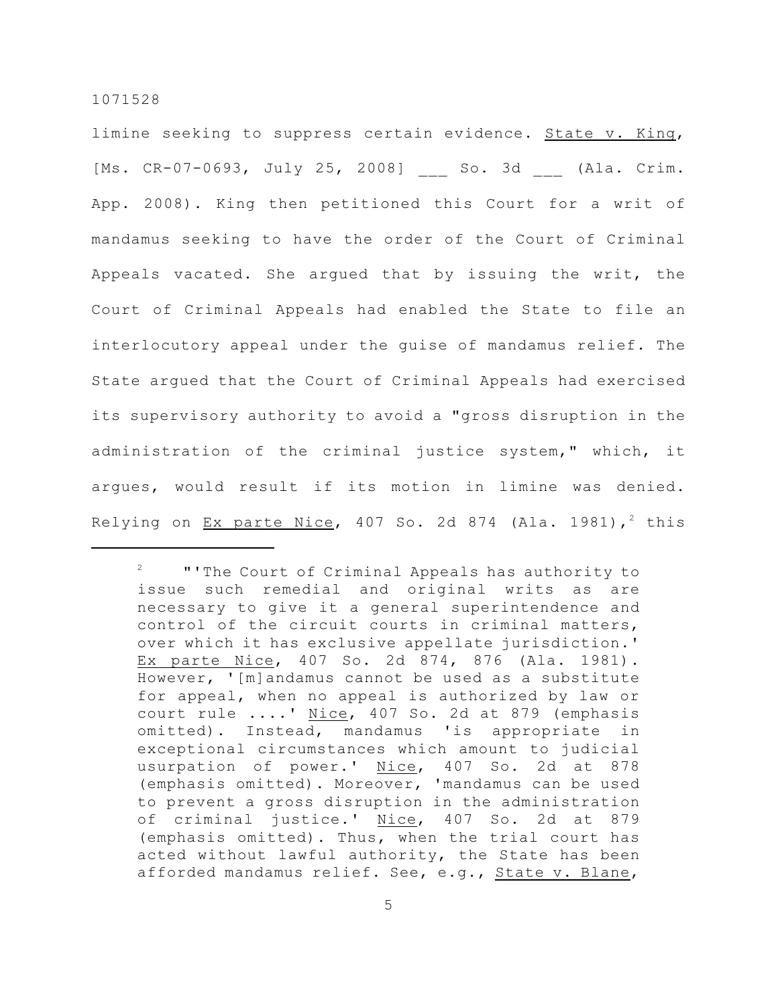limine seeking to suppress certain evidence. State v. King, [Ms. CR-07-0693, July 25, 2008] So. 3d (Ala. Crim. App. 2008). King then petitioned this Court for a writ of mandamus seeking to have the order of the Court of Criminal Appeals vacated. She argued that by issuing the writ, the Court of Criminal Appeals had enabled the State to file an interlocutory appeal under the guise of mandamus relief. The State argued that the Court of Criminal Appeals had exercised its supervisory authority to avoid a "gross disruption in the administration of the criminal justice system," which, it argues, would result if its motion in limine was denied. Relying on  $Ex$  parte Nice, 407 So. 2d 874 (Ala. 1981),<sup>2</sup> this

 $2$   $"$  "The Court of Criminal Appeals has authority to issue such remedial and original writs as are necessary to give it a general superintendence and control of the circuit courts in criminal matters, over which it has exclusive appellate jurisdiction.' Ex parte Nice, 407 So. 2d 874, 876 (Ala. 1981). However, '[m]andamus cannot be used as a substitute for appeal, when no appeal is authorized by law or court rule ....' Nice, 407 So. 2d at 879 (emphasis omitted). Instead, mandamus 'is appropriate in exceptional circumstances which amount to judicial usurpation of power.' Nice, 407 So. 2d at 878 (emphasis omitted). Moreover, 'mandamus can be used to prevent a gross disruption in the administration of criminal justice.' Nice, 407 So. 2d at 879 (emphasis omitted). Thus, when the trial court has acted without lawful authority, the State has been afforded mandamus relief. See, e.g., State v. Blane,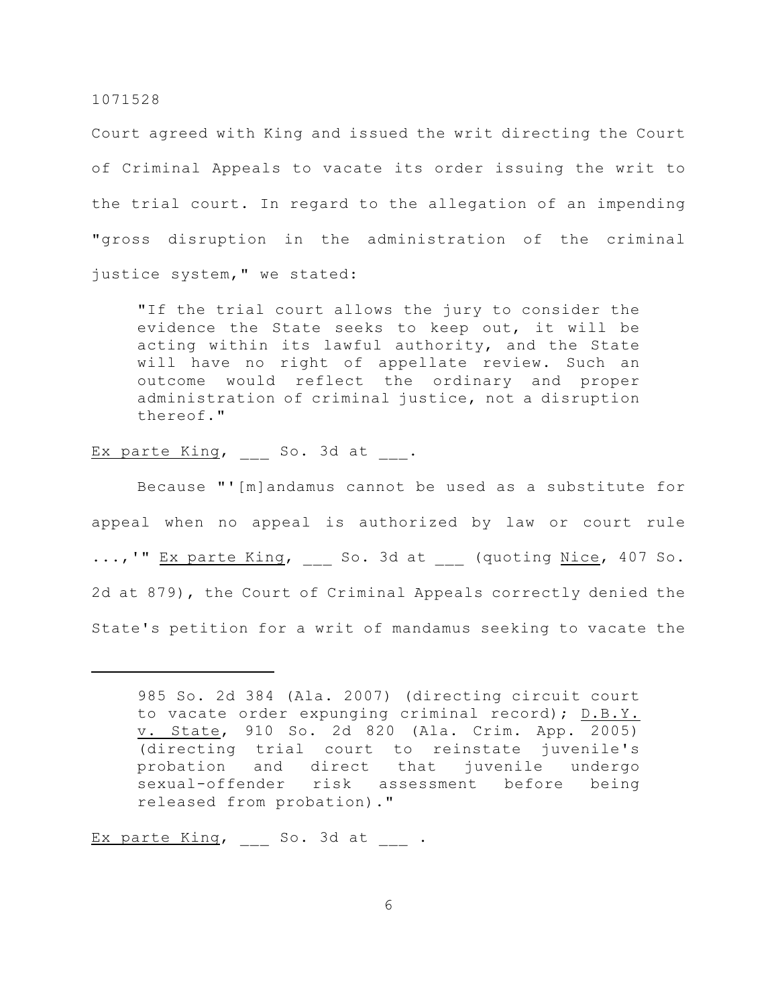Court agreed with King and issued the writ directing the Court of Criminal Appeals to vacate its order issuing the writ to the trial court. In regard to the allegation of an impending "gross disruption in the administration of the criminal justice system," we stated:

"If the trial court allows the jury to consider the evidence the State seeks to keep out, it will be acting within its lawful authority, and the State will have no right of appellate review. Such an outcome would reflect the ordinary and proper administration of criminal justice, not a disruption thereof."

Ex parte King, So. 3d at .

Because "'[m]andamus cannot be used as a substitute for appeal when no appeal is authorized by law or court rule ...,'" Ex parte King, So. 3d at (quoting Nice, 407 So. 2d at 879), the Court of Criminal Appeals correctly denied the State's petition for a writ of mandamus seeking to vacate the

Ex parte King, So. 3d at .

<sup>985</sup> So. 2d 384 (Ala. 2007) (directing circuit court to vacate order expunging criminal record); D.B.Y. v. State, 910 So. 2d 820 (Ala. Crim. App. 2005) (directing trial court to reinstate juvenile's probation and direct that juvenile undergo sexual-offender risk assessment before being released from probation)."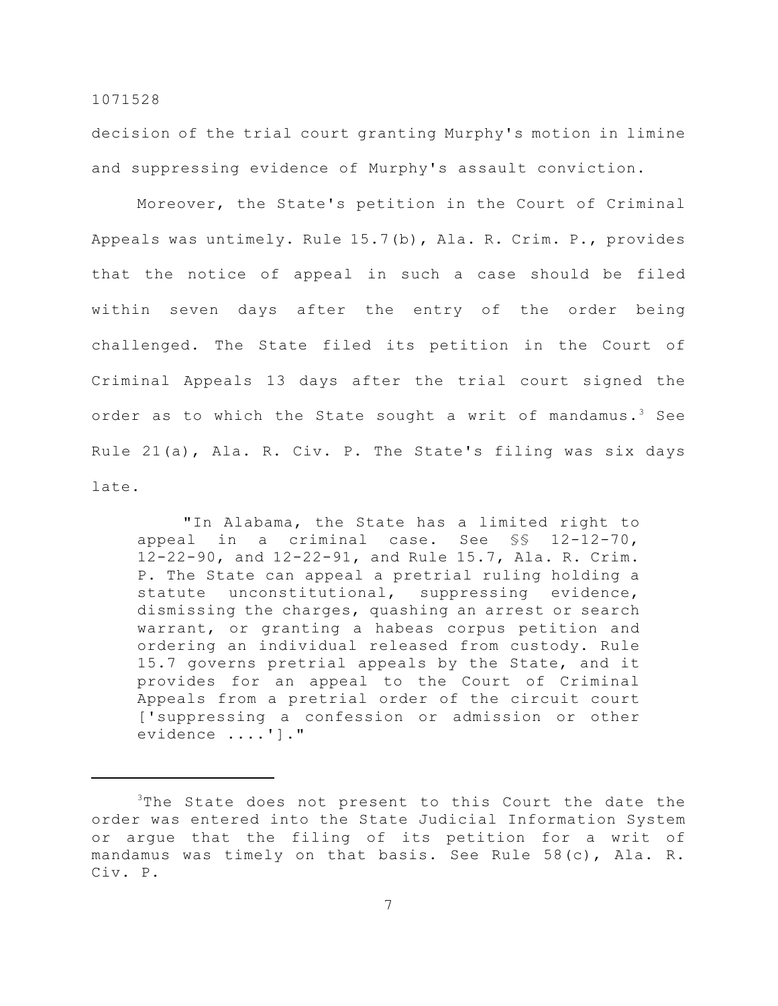decision of the trial court granting Murphy's motion in limine and suppressing evidence of Murphy's assault conviction.

Moreover, the State's petition in the Court of Criminal Appeals was untimely. Rule 15.7(b), Ala. R. Crim. P., provides that the notice of appeal in such a case should be filed within seven days after the entry of the order being challenged. The State filed its petition in the Court of Criminal Appeals 13 days after the trial court signed the order as to which the State sought a writ of mandamus.<sup>3</sup> See Rule 21(a), Ala. R. Civ. P. The State's filing was six days late.

"In Alabama, the State has a limited right to appeal in a criminal case. See §§ 12-12-70, 12-22-90, and 12-22-91, and Rule 15.7, Ala. R. Crim. P. The State can appeal a pretrial ruling holding a statute unconstitutional, suppressing evidence, dismissing the charges, quashing an arrest or search warrant, or granting a habeas corpus petition and ordering an individual released from custody. Rule 15.7 governs pretrial appeals by the State, and it provides for an appeal to the Court of Criminal Appeals from a pretrial order of the circuit court ['suppressing a confession or admission or other evidence ....']."

 $3$ The State does not present to this Court the date the order was entered into the State Judicial Information System or argue that the filing of its petition for a writ of mandamus was timely on that basis. See Rule 58(c), Ala. R. Civ. P.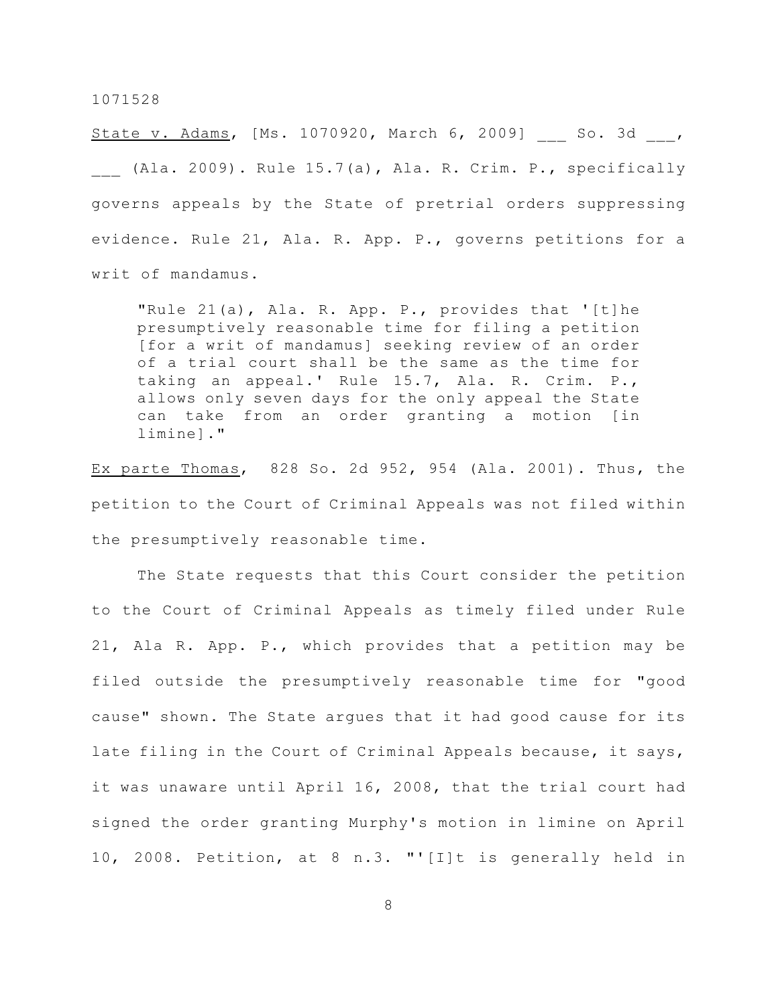State v. Adams, [Ms. 1070920, March 6, 2009] So. 3d , (Ala. 2009). Rule 15.7(a), Ala. R. Crim. P., specifically governs appeals by the State of pretrial orders suppressing evidence. Rule 21, Ala. R. App. P., governs petitions for a writ of mandamus.

"Rule 21(a), Ala. R. App. P., provides that '[t]he presumptively reasonable time for filing a petition [for a writ of mandamus] seeking review of an order of a trial court shall be the same as the time for taking an appeal.' Rule 15.7, Ala. R. Crim. P., allows only seven days for the only appeal the State can take from an order granting a motion [in limine]."

Ex parte Thomas, 828 So. 2d 952, 954 (Ala. 2001). Thus, the petition to the Court of Criminal Appeals was not filed within the presumptively reasonable time.

The State requests that this Court consider the petition to the Court of Criminal Appeals as timely filed under Rule 21, Ala R. App. P., which provides that a petition may be filed outside the presumptively reasonable time for "good cause" shown. The State argues that it had good cause for its late filing in the Court of Criminal Appeals because, it says, it was unaware until April 16, 2008, that the trial court had signed the order granting Murphy's motion in limine on April 10, 2008. Petition, at 8 n.3. "'[I]t is generally held in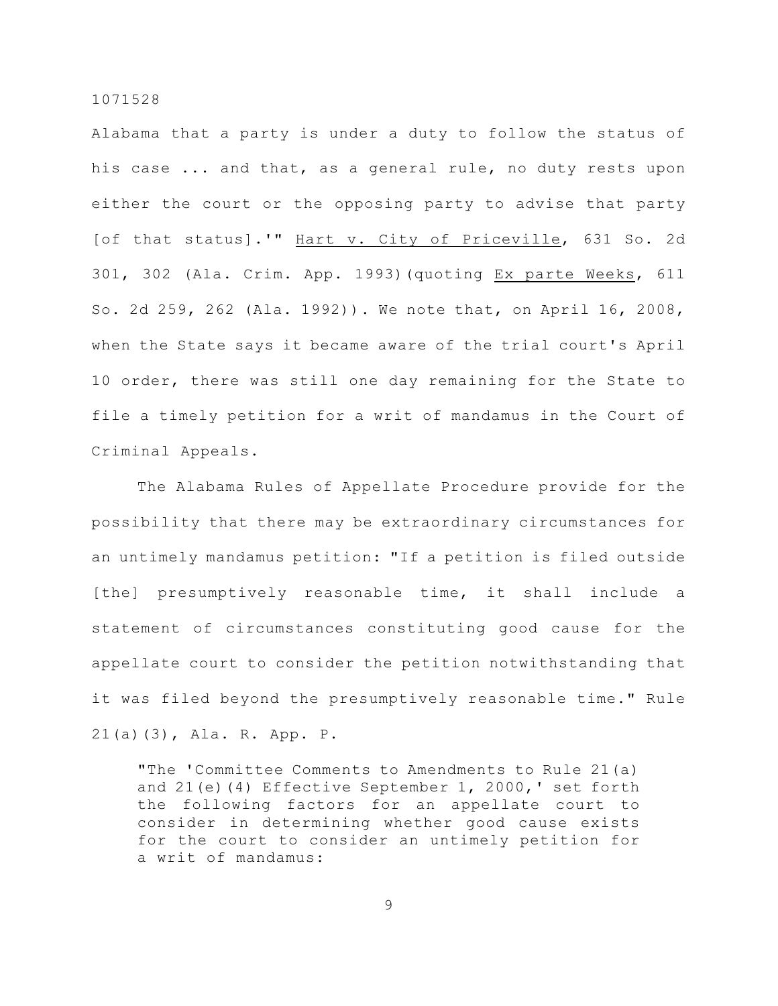Alabama that a party is under a duty to follow the status of his case ... and that, as a general rule, no duty rests upon either the court or the opposing party to advise that party [of that status].'" Hart v. City of Priceville, 631 So. 2d 301, 302 (Ala. Crim. App. 1993)(quoting Ex parte Weeks, 611 So. 2d 259, 262 (Ala. 1992)). We note that, on April 16, 2008, when the State says it became aware of the trial court's April 10 order, there was still one day remaining for the State to file a timely petition for a writ of mandamus in the Court of Criminal Appeals.

The Alabama Rules of Appellate Procedure provide for the possibility that there may be extraordinary circumstances for an untimely mandamus petition: "If a petition is filed outside [the] presumptively reasonable time, it shall include a statement of circumstances constituting good cause for the appellate court to consider the petition notwithstanding that it was filed beyond the presumptively reasonable time." Rule 21(a)(3), Ala. R. App. P.

"The 'Committee Comments to Amendments to Rule 21(a) and 21(e)(4) Effective September 1, 2000,' set forth the following factors for an appellate court to consider in determining whether good cause exists for the court to consider an untimely petition for a writ of mandamus: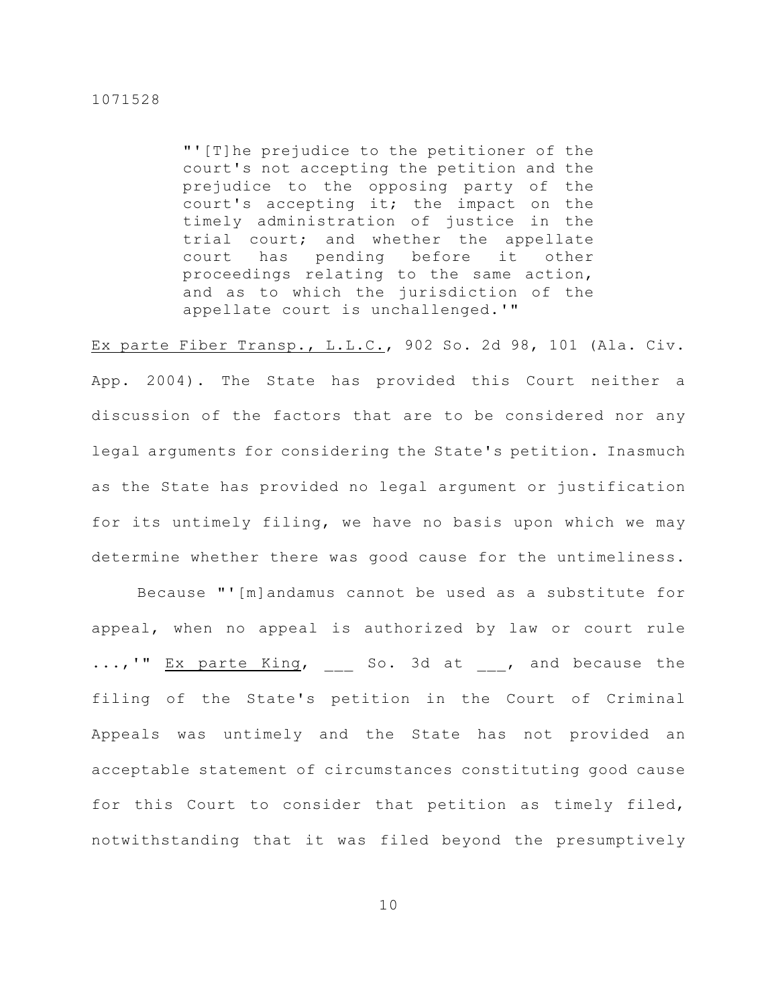"'[T]he prejudice to the petitioner of the court's not accepting the petition and the prejudice to the opposing party of the court's accepting it; the impact on the timely administration of justice in the trial court; and whether the appellate court has pending before it other proceedings relating to the same action, and as to which the jurisdiction of the appellate court is unchallenged.'"

Ex parte Fiber Transp., L.L.C., 902 So. 2d 98, 101 (Ala. Civ. App. 2004). The State has provided this Court neither a discussion of the factors that are to be considered nor any legal arguments for considering the State's petition. Inasmuch as the State has provided no legal argument or justification for its untimely filing, we have no basis upon which we may determine whether there was good cause for the untimeliness.

Because "'[m]andamus cannot be used as a substitute for appeal, when no appeal is authorized by law or court rule ...,'" Ex parte King, so. 3d at , and because the filing of the State's petition in the Court of Criminal Appeals was untimely and the State has not provided an acceptable statement of circumstances constituting good cause for this Court to consider that petition as timely filed, notwithstanding that it was filed beyond the presumptively